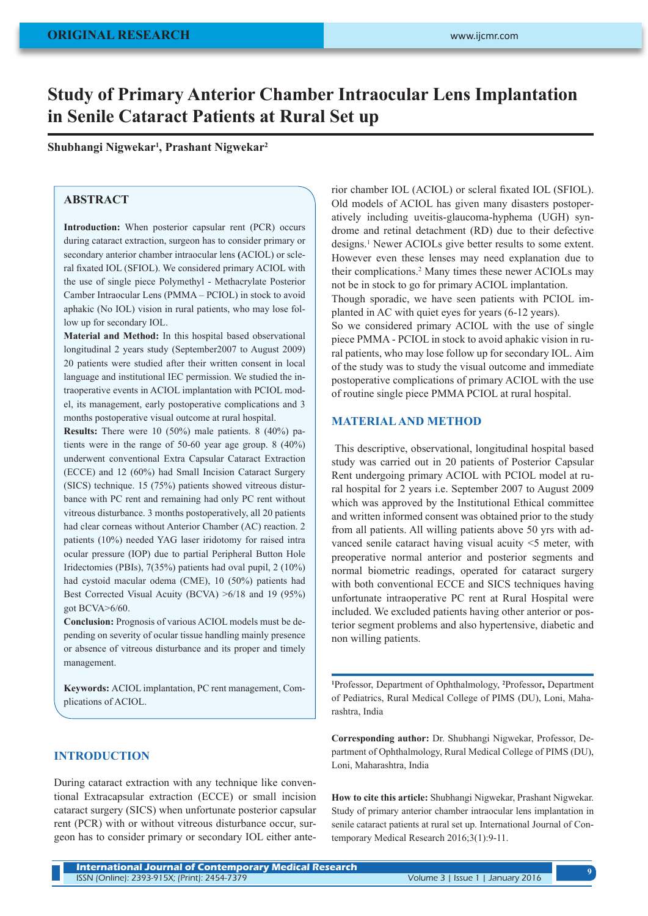# **Study of Primary Anterior Chamber Intraocular Lens Implantation in Senile Cataract Patients at Rural Set up**

**Shubhangi Nigwekar1 , Prashant Nigwekar2**

# **ABSTRACT**

**Introduction:** When posterior capsular rent (PCR) occurs during cataract extraction, surgeon has to consider primary or secondary anterior chamber intraocular lens **(**ACIOL) or scleral fixated IOL (SFIOL). We considered primary ACIOL with the use of single piece Polymethyl - Methacrylate Posterior Camber Intraocular Lens (PMMA – PCIOL) in stock to avoid aphakic (No IOL) vision in rural patients, who may lose follow up for secondary IOL.

**Material and Method:** In this hospital based observational longitudinal 2 years study (September2007 to August 2009) 20 patients were studied after their written consent in local language and institutional IEC permission. We studied the intraoperative events in ACIOL implantation with PCIOL model, its management, early postoperative complications and 3 months postoperative visual outcome at rural hospital.

**Results:** There were 10 (50%) male patients. 8 (40%) patients were in the range of 50-60 year age group. 8 (40%) underwent conventional Extra Capsular Cataract Extraction (ECCE) and 12 (60%) had Small Incision Cataract Surgery (SICS) technique. 15 (75%) patients showed vitreous disturbance with PC rent and remaining had only PC rent without vitreous disturbance. 3 months postoperatively, all 20 patients had clear corneas without Anterior Chamber (AC) reaction. 2 patients (10%) needed YAG laser iridotomy for raised intra ocular pressure (IOP) due to partial Peripheral Button Hole Iridectomies (PBIs), 7(35%) patients had oval pupil, 2 (10%) had cystoid macular odema (CME), 10 (50%) patients had Best Corrected Visual Acuity (BCVA) >6/18 and 19 (95%) got BCVA>6/60.

**Conclusion:** Prognosis of various ACIOL models must be depending on severity of ocular tissue handling mainly presence or absence of vitreous disturbance and its proper and timely management.

**Keywords:** ACIOL implantation, PC rent management, Complications of ACIOL.

# **INTRODUCTION**

During cataract extraction with any technique like conventional Extracapsular extraction (ECCE) or small incision cataract surgery (SICS) when unfortunate posterior capsular rent (PCR) with or without vitreous disturbance occur, surgeon has to consider primary or secondary IOL either anterior chamber IOL (ACIOL) or scleral fixated IOL (SFIOL). Old models of ACIOL has given many disasters postoperatively including uveitis-glaucoma-hyphema (UGH) syndrome and retinal detachment (RD) due to their defective designs.1 Newer ACIOLs give better results to some extent. However even these lenses may need explanation due to their complications.<sup>2</sup> Many times these newer ACIOLs may not be in stock to go for primary ACIOL implantation. Though sporadic, we have seen patients with PCIOL implanted in AC with quiet eyes for years (6-12 years). So we considered primary ACIOL with the use of single

piece PMMA - PCIOL in stock to avoid aphakic vision in rural patients, who may lose follow up for secondary IOL. Aim of the study was to study the visual outcome and immediate postoperative complications of primary ACIOL with the use of routine single piece PMMA PCIOL at rural hospital.

## **MATERIAL AND METHOD**

This descriptive, observational, longitudinal hospital based study was carried out in 20 patients of Posterior Capsular Rent undergoing primary ACIOL with PCIOL model at rural hospital for 2 years i.e. September 2007 to August 2009 which was approved by the Institutional Ethical committee and written informed consent was obtained prior to the study from all patients. All willing patients above 50 yrs with advanced senile cataract having visual acuity <5 meter, with preoperative normal anterior and posterior segments and normal biometric readings, operated for cataract surgery with both conventional ECCE and SICS techniques having unfortunate intraoperative PC rent at Rural Hospital were included. We excluded patients having other anterior or posterior segment problems and also hypertensive, diabetic and non willing patients.

**1** Professor, Department of Ophthalmology, **<sup>2</sup>** Professor**,** Department of Pediatrics, Rural Medical College of PIMS (DU), Loni, Maharashtra, India

**Corresponding author:** Dr. Shubhangi Nigwekar, Professor, Department of Ophthalmology, Rural Medical College of PIMS (DU), Loni, Maharashtra, India

**How to cite this article:** Shubhangi Nigwekar, Prashant Nigwekar. Study of primary anterior chamber intraocular lens implantation in senile cataract patients at rural set up. International Journal of Contemporary Medical Research 2016;3(1):9-11.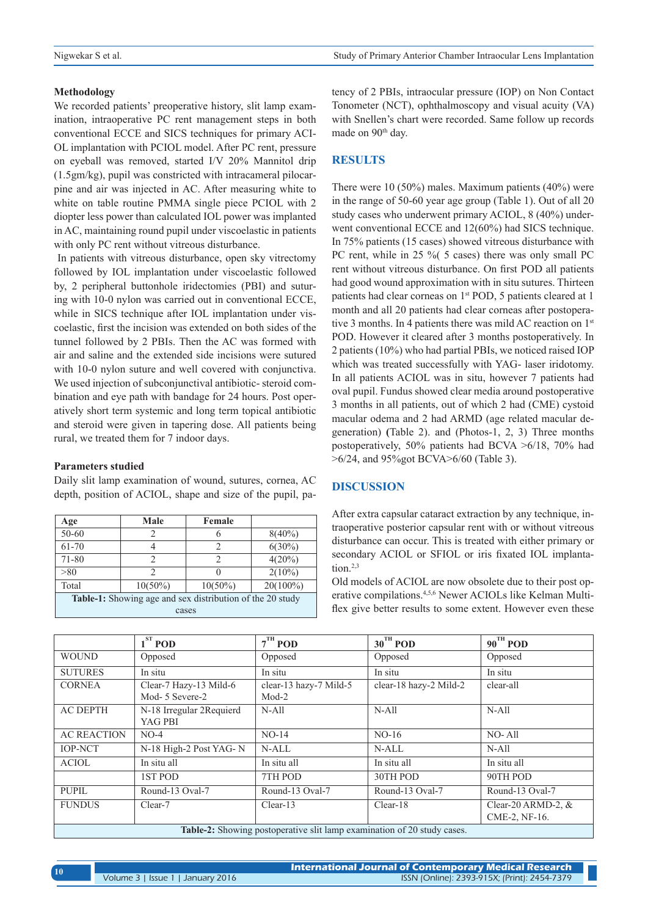### **Methodology**

We recorded patients' preoperative history, slit lamp examination, intraoperative PC rent management steps in both conventional ECCE and SICS techniques for primary ACI-OL implantation with PCIOL model. After PC rent, pressure on eyeball was removed, started I/V 20% Mannitol drip (1.5gm/kg), pupil was constricted with intracameral pilocarpine and air was injected in AC. After measuring white to white on table routine PMMA single piece PCIOL with 2 diopter less power than calculated IOL power was implanted in AC, maintaining round pupil under viscoelastic in patients with only PC rent without vitreous disturbance.

 In patients with vitreous disturbance, open sky vitrectomy followed by IOL implantation under viscoelastic followed by, 2 peripheral buttonhole iridectomies (PBI) and suturing with 10-0 nylon was carried out in conventional ECCE, while in SICS technique after IOL implantation under viscoelastic, first the incision was extended on both sides of the tunnel followed by 2 PBIs. Then the AC was formed with air and saline and the extended side incisions were sutured with 10-0 nylon suture and well covered with conjunctiva. We used injection of subconjunctival antibiotic- steroid combination and eye path with bandage for 24 hours. Post operatively short term systemic and long term topical antibiotic and steroid were given in tapering dose. All patients being rural, we treated them for 7 indoor days.

#### **Parameters studied**

Daily slit lamp examination of wound, sutures, cornea, AC depth, position of ACIOL, shape and size of the pupil, pa-

| Age                                                              | Male       | Female     |             |  |  |
|------------------------------------------------------------------|------------|------------|-------------|--|--|
| $50 - 60$                                                        | 2          |            | $8(40\%)$   |  |  |
| 61-70                                                            | 4          | ∍          | $6(30\%)$   |  |  |
| 71-80                                                            | 2          | っ          | $4(20\%)$   |  |  |
| > 80                                                             | 2          |            | $2(10\%)$   |  |  |
| Total                                                            | $10(50\%)$ | $10(50\%)$ | $20(100\%)$ |  |  |
| <b>Table-1:</b> Showing age and sex distribution of the 20 study |            |            |             |  |  |
| cases                                                            |            |            |             |  |  |

tency of 2 PBIs, intraocular pressure (IOP) on Non Contact Tonometer (NCT), ophthalmoscopy and visual acuity (VA) with Snellen's chart were recorded. Same follow up records made on 90<sup>th</sup> day.

## **RESULTS**

There were 10 (50%) males. Maximum patients (40%) were in the range of 50-60 year age group (Table 1). Out of all 20 study cases who underwent primary ACIOL, 8 (40%) underwent conventional ECCE and 12(60%) had SICS technique. In 75% patients (15 cases) showed vitreous disturbance with PC rent, while in 25 % (5 cases) there was only small PC rent without vitreous disturbance. On first POD all patients had good wound approximation with in situ sutures. Thirteen patients had clear corneas on 1<sup>st</sup> POD, 5 patients cleared at 1 month and all 20 patients had clear corneas after postoperative 3 months. In 4 patients there was mild AC reaction on 1<sup>st</sup> POD. However it cleared after 3 months postoperatively. In 2 patients (10%) who had partial PBIs, we noticed raised IOP which was treated successfully with YAG- laser iridotomy. In all patients ACIOL was in situ, however 7 patients had oval pupil. Fundus showed clear media around postoperative 3 months in all patients, out of which 2 had (CME) cystoid macular odema and 2 had ARMD (age related macular degeneration) **(**Table 2). and (Photos-1, 2, 3) Three months postoperatively, 50% patients had BCVA >6/18, 70% had >6/24, and 95%got BCVA>6/60 (Table 3).

## **DISCUSSION**

After extra capsular cataract extraction by any technique, intraoperative posterior capsular rent with or without vitreous disturbance can occur. This is treated with either primary or secondary ACIOL or SFIOL or iris fixated IOL implantation. $2,3$ 

Old models of ACIOL are now obsolete due to their post operative compilations.4,5,6 Newer ACIOLs like Kelman Multiflex give better results to some extent. However even these

|                                                                         | $1ST$ POD                                 | $7TH$ POD                         | $30^{\text{TH}}$ POD   | $90^{\text{TH}}$ POD                  |
|-------------------------------------------------------------------------|-------------------------------------------|-----------------------------------|------------------------|---------------------------------------|
| <b>WOUND</b>                                                            | Opposed                                   | Opposed                           | Opposed                | Opposed                               |
| <b>SUTURES</b>                                                          | In situ                                   | In situ                           | In situ                | In situ                               |
| <b>CORNEA</b>                                                           | Clear-7 Hazy-13 Mild-6<br>Mod- 5 Severe-2 | clear-13 hazy-7 Mild-5<br>$Mod-2$ | clear-18 hazy-2 Mild-2 | clear-all                             |
| <b>AC DEPTH</b>                                                         | N-18 Irregular 2Requierd<br>YAG PBI       | $N-$ All                          | $N-$ All               | $N-All$                               |
| <b>AC REACTION</b>                                                      | $NO-4$                                    | $NO-14$                           | $NO-16$                | NO-All                                |
| <b>IOP-NCT</b>                                                          | N-18 High-2 Post YAG-N                    | $N-ALL$                           | N-ALL                  | $N-All$                               |
| <b>ACIOL</b>                                                            | In situ all                               | In situ all                       | In situ all            | In situ all                           |
|                                                                         | 1ST POD                                   | 7TH POD                           | 30TH POD               | 90TH POD                              |
| <b>PUPIL</b>                                                            | Round-13 Oval-7                           | Round-13 Oval-7                   | Round-13 Oval-7        | Round-13 Oval-7                       |
| <b>FUNDUS</b>                                                           | Clear-7                                   | $Clear-13$                        | Clear-18               | Clear-20 ARMD-2, $&$<br>CME-2, NF-16. |
| Table-2: Showing postoperative slit lamp examination of 20 study cases. |                                           |                                   |                        |                                       |